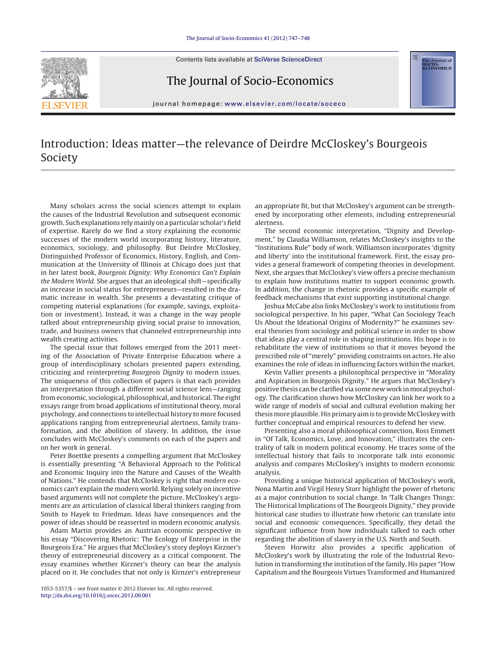Contents lists available at SciVerse [ScienceDirect](http://www.sciencedirect.com/science/journal/10535357)



The Journal of Socio-Economics



journal homepage: [www.elsevier.com/locate/soceco](http://www.elsevier.com/locate/soceco)

## Introduction: Ideas matter—the relevance of Deirdre McCloskey's Bourgeois Society

Many scholars across the social sciences attempt to explain the causes of the Industrial Revolution and subsequent economic growth. Such explanations rely mainly on a particular scholar's field of expertise. Rarely do we find a story explaining the economic successes of the modern world incorporating history, literature, economics, sociology, and philosophy. But Deirdre McCloskey, Distinguished Professor of Economics, History, English, and Communication at the University of Illinois at Chicago does just that in her latest book, Bourgeois Dignity: Why Economics Can't Explain the Modern World. She argues that an ideological shift—specifically an increase in social status for entrepreneurs—resulted in the dramatic increase in wealth. She presents a devastating critique of competing material explanations (for example, savings, exploitation or investment). Instead, it was a change in the way people talked about entrepreneurship giving social praise to innovation, trade, and business owners that channeled entrepreneurship into wealth creating activities.

The special issue that follows emerged from the 2011 meeting of the Association of Private Enterprise Education where a group of interdisciplinary scholars presented papers extending, criticizing and reinterpreting Bourgeois Dignity to modern issues. The uniqueness of this collection of papers is that each provides an interpretation through a different social science lens—ranging from economic, sociological, philosophical, and historical. The eight essays range from broad applications of institutional theory, moral psychology, and connections to intellectual history to more focused applications ranging from entrepreneurial alertness, family transformation, and the abolition of slavery. In addition, the issue concludes with McCloskey's comments on each of the papers and on her work in general.

Peter Boettke presents a compelling argument that McCloskey is essentially presenting "A Behavioral Approach to the Political and Economic Inquiry into the Nature and Causes of the Wealth of Nations." He contends that McCloskey is right that modern economics can't explain the modern world. Relying solely on incentive based arguments will not complete the picture. McCloskey's arguments are an articulation of classical liberal thinkers ranging from Smith to Hayek to Friedman. Ideas have consequences and the power of ideas should be reasserted in modern economic analysis.

Adam Martin provides an Austrian economic perspective in his essay "Discovering Rhetoric: The Ecology of Enterprise in the Bourgeois Era." He argues that McCloskey's story deploys Kirzner's theory of entrepreneurial discovery as a critical component. The essay examines whether Kirzner's theory can bear the analysis placed on it. He concludes that not only is Kirnzer's entrepreneur

1053-5357/\$ – see front matter © 2012 Elsevier Inc. All rights reserved. [http://dx.doi.org/10.1016/j.socec.2012.09.001](dx.doi.org/10.1016/j.socec.2012.09.001)

an appropriate fit, but that McCloskey's argument can be strengthened by incorporating other elements, including entrepreneurial alertness.

The second economic interpretation, "Dignity and Development," by Claudia Williamson, relates McCloskey's insights to the "Institutions Rule" body of work. Williamson incorporates 'dignity and liberty' into the institutional framework. First, the essay provides a general framework of competing theories in development. Next, she argues that McCloskey's view offers a precise mechanism to explain how institutions matter to support economic growth. In addition, the change in rhetoric provides a specific example of feedback mechanisms that exist supporting institutional change.

Joshua McCabe also links McCloskey's work to institutions from sociological perspective. In his paper, "What Can Sociology Teach Us About the Ideational Origins of Modernity?" he examines several theories from sociology and political science in order to show that ideas play a central role in shaping institutions. His hope is to rehabilitate the view of institutions so that it moves beyond the prescribed role of "merely" providing constraints on actors. He also examines the role of ideas in influencing factors within the market.

Kevin Vallier presents a philosophical perspective in "Morality and Aspiration in Bourgeois Dignity." He argues that McCloskey's positive thesis can be clarified via some new work in moral psychology. The clarification shows how McCloskey can link her work to a wide range of models of social and cultural evolution making her thesis more plausible. His primary aim is to provide McCloskey with further conceptual and empirical resources to defend her view.

Presenting also a moral philosophical connection, Ross Emmett in "Of Talk, Economics, Love, and Innovation," illustrates the centrality of talk in modern political economy. He traces some of the intellectual history that fails to incorporate talk into economic analysis and compares McCloskey's insights to modern economic analysis.

Providing a unique historical application of McCloskey's work, Nona Martin and Virgil Henry Storr highlight the power of rhetoric as a major contribution to social change. In 'Talk Changes Things: The Historical Implications of The Bourgeois Dignity," they provide historical case studies to illustrate how rhetoric can translate into social and economic consequences. Specifically, they detail the significant influence from how individuals talked to each other regarding the abolition of slavery in the U.S. North and South.

Steven Horwitz also provides a specific application of McCloskey's work by illustrating the role of the Industrial Revolution in transforming the institution of the family. His paper "How Capitalism and the Bourgeois Virtues Transformed and Humanized